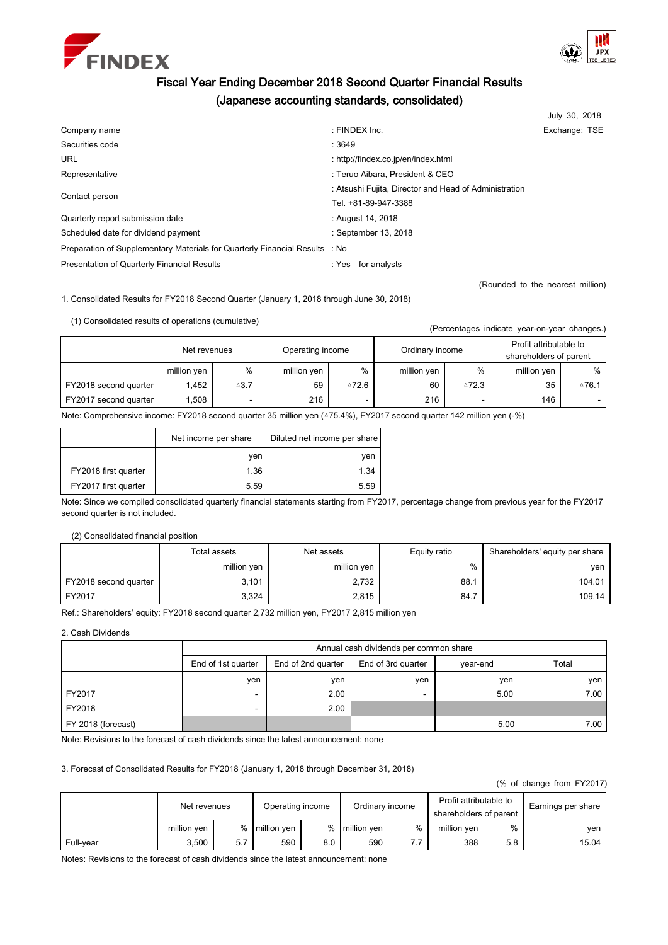



# Fiscal Year Ending December 2018 Second Quarter Financial Results (Japanese accounting standards, consolidated)

|                                                                             |                                                       | July 30, 2018 |  |  |
|-----------------------------------------------------------------------------|-------------------------------------------------------|---------------|--|--|
| Company name                                                                | : FINDEX Inc.                                         | Exchange: TSE |  |  |
| Securities code                                                             | :3649                                                 |               |  |  |
| <b>URL</b>                                                                  | : http://findex.co.jp/en/index.html                   |               |  |  |
| Representative                                                              | : Teruo Aibara, President & CEO                       |               |  |  |
| Contact person                                                              | : Atsushi Fujita, Director and Head of Administration |               |  |  |
|                                                                             | Tel. +81-89-947-3388                                  |               |  |  |
| Quarterly report submission date                                            | : August 14, 2018                                     |               |  |  |
| Scheduled date for dividend payment                                         | : September 13, 2018                                  |               |  |  |
| Preparation of Supplementary Materials for Quarterly Financial Results : No |                                                       |               |  |  |
| <b>Presentation of Quarterly Financial Results</b>                          | for analysts<br>: Yes                                 |               |  |  |

(Rounded to the nearest million)

(Percentages indicate year-on-year changes.)

1. Consolidated Results for FY2018 Second Quarter (January 1, 2018 through June 30, 2018)

(1) Consolidated results of operations (cumulative)

|                       | Net revenues |                 | Operating income |                          | Ordinary income |                          | Profit attributable to<br>shareholders of parent |                    |
|-----------------------|--------------|-----------------|------------------|--------------------------|-----------------|--------------------------|--------------------------------------------------|--------------------|
|                       | million yen  | %               | million yen      | %                        | million yen     | %                        | million yen                                      | %                  |
| FY2018 second quarter | 1.452        | $\triangle 3.7$ | 59               | ≙72.6                    | 60              | $^{\triangle}72.3$       | 35                                               | $^{\triangle}76.1$ |
| FY2017 second quarter | .508         | -               | 216              | $\overline{\phantom{0}}$ | 216             | $\overline{\phantom{a}}$ | 146                                              |                    |

Note: Comprehensive income: FY2018 second quarter 35 million yen ( $\triangle$ 75.4%), FY2017 second quarter 142 million yen (-%)

|                      | Net income per share | Diluted net income per share |
|----------------------|----------------------|------------------------------|
|                      | ven                  | yen                          |
| FY2018 first quarter | 1.36                 | 1.34                         |
| FY2017 first quarter | 5.59                 | 5.59                         |

Note: Since we compiled consolidated quarterly financial statements starting from FY2017, percentage change from previous year for the FY2017 second quarter is not included.

# (2) Consolidated financial position

|                       | Total assets | Net assets  | Equity ratio | Shareholders' equity per share |
|-----------------------|--------------|-------------|--------------|--------------------------------|
|                       | million yen  | million yen | %            | ven                            |
| FY2018 second quarter | 3,101        | 2.732       | 88.1         | 104.01                         |
| FY2017                | 3.324        | 2,815       | 84.7         | 109.14                         |

Ref.: Shareholders' equity: FY2018 second quarter 2,732 million yen, FY2017 2,815 million yen

2. Cash Dividends

|                    | Annual cash dividends per common share |                    |                    |          |       |  |  |
|--------------------|----------------------------------------|--------------------|--------------------|----------|-------|--|--|
|                    | End of 1st quarter                     | End of 2nd quarter | End of 3rd quarter | year-end | Total |  |  |
|                    | yen                                    | yen                | ven                | yen      | ven   |  |  |
| FY2017             |                                        | 2.00               | -                  | 5.00     | 7.00  |  |  |
| FY2018             |                                        | 2.00               |                    |          |       |  |  |
| FY 2018 (forecast) |                                        |                    |                    | 5.00     | 7.00  |  |  |

Note: Revisions to the forecast of cash dividends since the latest announcement: none

# 3. Forecast of Consolidated Results for FY2018 (January 1, 2018 through December 31, 2018)

(% of change from FY2017)

|           | Net revenues |     | Operating income |     | Ordinary income |   | Profit attributable to<br>shareholders of parent |     | Earnings per share |
|-----------|--------------|-----|------------------|-----|-----------------|---|--------------------------------------------------|-----|--------------------|
|           | million yen  | %   | million yen      | %   | million yen     | % | million yen                                      | %   | ven                |
| Full-year | 3.500        | 5.7 | 590              | 8.0 | 590             |   | 388                                              | 5.8 | 15.04              |

Notes: Revisions to the forecast of cash dividends since the latest announcement: none